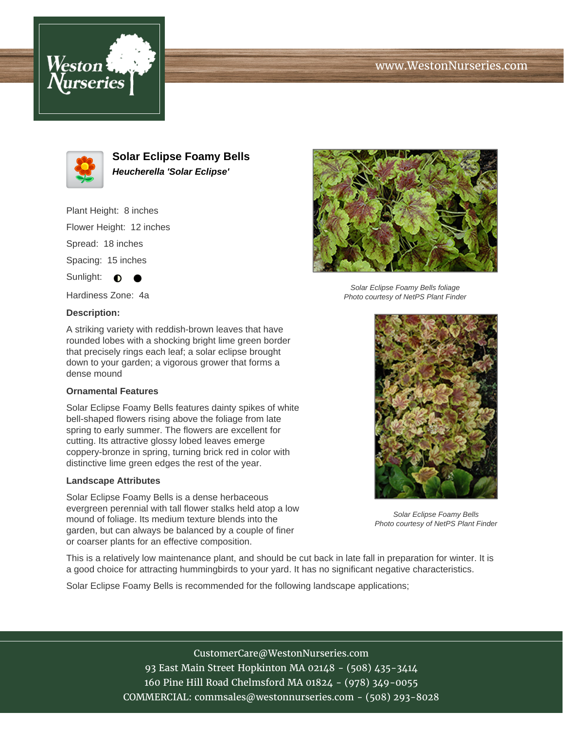# www.WestonNurseries.com





**Solar Eclipse Foamy Bells Heucherella 'Solar Eclipse'**

Plant Height: 8 inches Flower Height: 12 inches Spread: 18 inches Spacing: 15 inches Sunlight:  $\bigcirc$ 

Hardiness Zone: 4a

### **Description:**

A striking variety with reddish-brown leaves that have rounded lobes with a shocking bright lime green border that precisely rings each leaf; a solar eclipse brought down to your garden; a vigorous grower that forms a dense mound

### **Ornamental Features**

Solar Eclipse Foamy Bells features dainty spikes of white bell-shaped flowers rising above the foliage from late spring to early summer. The flowers are excellent for cutting. Its attractive glossy lobed leaves emerge coppery-bronze in spring, turning brick red in color with distinctive lime green edges the rest of the year.

#### **Landscape Attributes**

Solar Eclipse Foamy Bells is a dense herbaceous evergreen perennial with tall flower stalks held atop a low mound of foliage. Its medium texture blends into the garden, but can always be balanced by a couple of finer or coarser plants for an effective composition.



Solar Eclipse Foamy Bells foliage Photo courtesy of NetPS Plant Finder



Solar Eclipse Foamy Bells Photo courtesy of NetPS Plant Finder

This is a relatively low maintenance plant, and should be cut back in late fall in preparation for winter. It is a good choice for attracting hummingbirds to your yard. It has no significant negative characteristics.

Solar Eclipse Foamy Bells is recommended for the following landscape applications;

CustomerCare@WestonNurseries.com 93 East Main Street Hopkinton MA 02148 - (508) 435-3414 160 Pine Hill Road Chelmsford MA 01824 - (978) 349-0055 COMMERCIAL: commsales@westonnurseries.com - (508) 293-8028